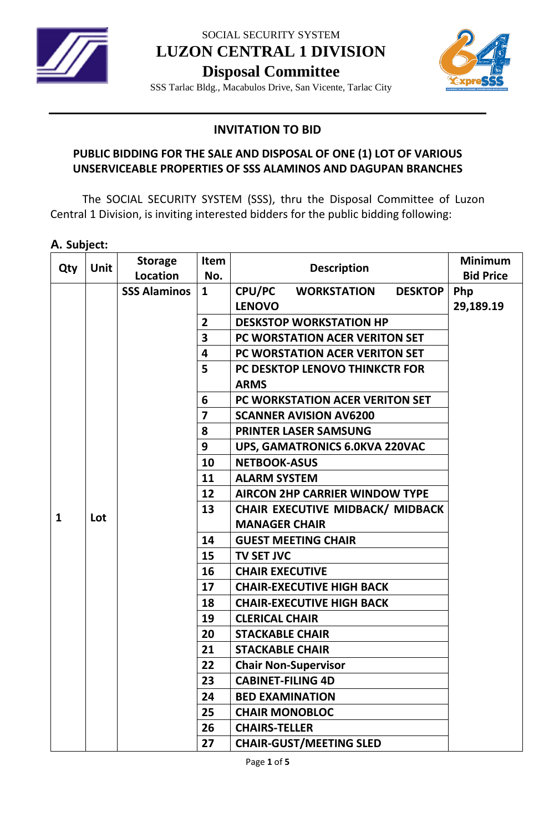

SOCIAL SECURITY SYSTEM **LUZON CENTRAL 1 DIVISION**

**Disposal Committee**



SSS Tarlac Bldg., Macabulos Drive, San Vicente, Tarlac City

## **INVITATION TO BID**

## **PUBLIC BIDDING FOR THE SALE AND DISPOSAL OF ONE (1) LOT OF VARIOUS UNSERVICEABLE PROPERTIES OF SSS ALAMINOS AND DAGUPAN BRANCHES**

The SOCIAL SECURITY SYSTEM (SSS), thru the Disposal Committee of Luzon Central 1 Division, is inviting interested bidders for the public bidding following:

#### **A. Subject:**

| Qty          | Unit                              | <b>Storage</b>      | Item                                    | <b>Description</b>                                           | <b>Minimum</b>   |
|--------------|-----------------------------------|---------------------|-----------------------------------------|--------------------------------------------------------------|------------------|
|              |                                   | Location            | No.                                     |                                                              | <b>Bid Price</b> |
|              |                                   | <b>SSS Alaminos</b> | $\mathbf{1}$                            | <b>CPU/PC WORKSTATION</b><br><b>DESKTOP</b><br><b>LENOVO</b> | Php              |
|              |                                   |                     | $\overline{2}$                          | <b>DESKSTOP WORKSTATION HP</b>                               | 29,189.19        |
|              |                                   |                     | 3                                       |                                                              |                  |
|              |                                   |                     |                                         | PC WORSTATION ACER VERITON SET                               |                  |
|              |                                   |                     | 4                                       | PC WORSTATION ACER VERITON SET                               |                  |
|              |                                   |                     | 5                                       | PC DESKTOP LENOVO THINKCTR FOR                               |                  |
|              |                                   |                     |                                         | <b>ARMS</b>                                                  |                  |
|              |                                   |                     | 6                                       | PC WORKSTATION ACER VERITON SET                              |                  |
|              |                                   |                     | $\overline{7}$                          | <b>SCANNER AVISION AV6200</b>                                |                  |
|              |                                   |                     | 8                                       | <b>PRINTER LASER SAMSUNG</b>                                 |                  |
|              |                                   |                     | 9                                       | <b>UPS, GAMATRONICS 6.0KVA 220VAC</b>                        |                  |
|              |                                   |                     | 10                                      | <b>NETBOOK-ASUS</b>                                          |                  |
|              |                                   |                     | 11                                      | <b>ALARM SYSTEM</b>                                          |                  |
|              |                                   |                     | 12                                      | <b>AIRCON 2HP CARRIER WINDOW TYPE</b>                        |                  |
|              | 13<br>Lot<br><b>MANAGER CHAIR</b> |                     | <b>CHAIR EXECUTIVE MIDBACK/ MIDBACK</b> |                                                              |                  |
| $\mathbf{1}$ |                                   |                     |                                         |                                                              |                  |
|              |                                   |                     | 14                                      | <b>GUEST MEETING CHAIR</b>                                   |                  |
|              |                                   |                     | 15                                      | <b>TV SET JVC</b>                                            |                  |
|              |                                   |                     | 16                                      | <b>CHAIR EXECUTIVE</b>                                       |                  |
|              |                                   |                     | 17                                      | <b>CHAIR-EXECUTIVE HIGH BACK</b>                             |                  |
|              |                                   |                     | 18                                      | <b>CHAIR-EXECUTIVE HIGH BACK</b>                             |                  |
|              |                                   |                     | 19                                      | <b>CLERICAL CHAIR</b>                                        |                  |
|              |                                   |                     | 20                                      | <b>STACKABLE CHAIR</b>                                       |                  |
|              |                                   |                     | 21                                      | <b>STACKABLE CHAIR</b>                                       |                  |
|              |                                   |                     | 22                                      | <b>Chair Non-Supervisor</b>                                  |                  |
|              |                                   |                     | 23                                      | <b>CABINET-FILING 4D</b>                                     |                  |
|              |                                   |                     | 24                                      | <b>BED EXAMINATION</b>                                       |                  |
|              |                                   |                     | 25                                      | <b>CHAIR MONOBLOC</b>                                        |                  |
|              |                                   |                     | 26                                      | <b>CHAIRS-TELLER</b>                                         |                  |
|              |                                   |                     | 27                                      | <b>CHAIR-GUST/MEETING SLED</b>                               |                  |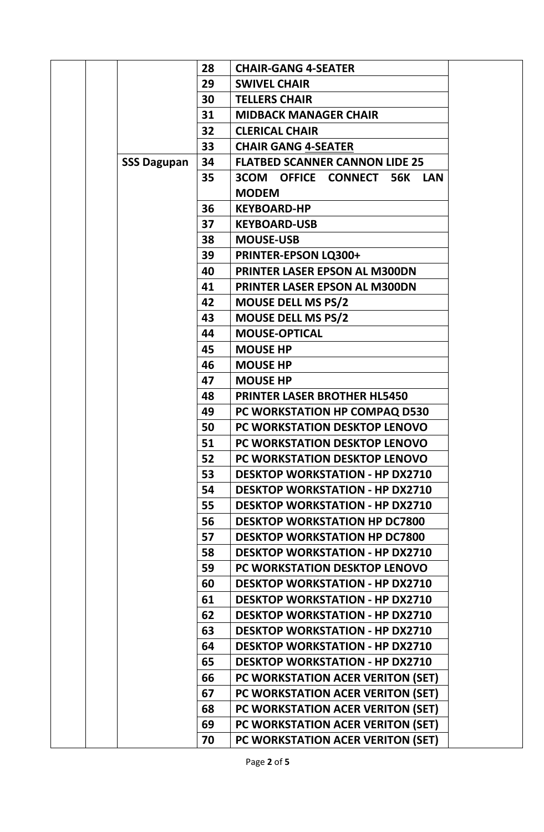|                    | 28 | <b>CHAIR-GANG 4-SEATER</b>                     |  |
|--------------------|----|------------------------------------------------|--|
|                    | 29 | <b>SWIVEL CHAIR</b>                            |  |
|                    | 30 | <b>TELLERS CHAIR</b>                           |  |
|                    | 31 | <b>MIDBACK MANAGER CHAIR</b>                   |  |
|                    | 32 | <b>CLERICAL CHAIR</b>                          |  |
|                    | 33 | <b>CHAIR GANG 4-SEATER</b>                     |  |
| <b>SSS Dagupan</b> | 34 | <b>FLATBED SCANNER CANNON LIDE 25</b>          |  |
|                    | 35 | 3COM OFFICE CONNECT 56K<br>LAN<br><b>MODEM</b> |  |
|                    | 36 | <b>KEYBOARD-HP</b>                             |  |
|                    | 37 | <b>KEYBOARD-USB</b>                            |  |
|                    | 38 | <b>MOUSE-USB</b>                               |  |
|                    | 39 | <b>PRINTER-EPSON LQ300+</b>                    |  |
|                    | 40 | <b>PRINTER LASER EPSON AL M300DN</b>           |  |
|                    | 41 | <b>PRINTER LASER EPSON AL M300DN</b>           |  |
|                    | 42 | <b>MOUSE DELL MS PS/2</b>                      |  |
|                    | 43 | <b>MOUSE DELL MS PS/2</b>                      |  |
|                    | 44 | <b>MOUSE-OPTICAL</b>                           |  |
|                    | 45 | <b>MOUSE HP</b>                                |  |
|                    | 46 | <b>MOUSE HP</b>                                |  |
|                    | 47 | <b>MOUSE HP</b>                                |  |
|                    | 48 | <b>PRINTER LASER BROTHER HL5450</b>            |  |
|                    | 49 | PC WORKSTATION HP COMPAQ D530                  |  |
|                    | 50 | PC WORKSTATION DESKTOP LENOVO                  |  |
|                    | 51 | PC WORKSTATION DESKTOP LENOVO                  |  |
|                    | 52 | PC WORKSTATION DESKTOP LENOVO                  |  |
|                    | 53 | <b>DESKTOP WORKSTATION - HP DX2710</b>         |  |
|                    | 54 | <b>DESKTOP WORKSTATION - HP DX2710</b>         |  |
|                    | 55 | <b>DESKTOP WORKSTATION - HP DX2710</b>         |  |
|                    | 56 | <b>DESKTOP WORKSTATION HP DC7800</b>           |  |
|                    | 57 | <b>DESKTOP WORKSTATION HP DC7800</b>           |  |
|                    | 58 | <b>DESKTOP WORKSTATION - HP DX2710</b>         |  |
|                    | 59 | PC WORKSTATION DESKTOP LENOVO                  |  |
|                    | 60 | <b>DESKTOP WORKSTATION - HP DX2710</b>         |  |
|                    | 61 | <b>DESKTOP WORKSTATION - HP DX2710</b>         |  |
|                    | 62 | <b>DESKTOP WORKSTATION - HP DX2710</b>         |  |
|                    | 63 | <b>DESKTOP WORKSTATION - HP DX2710</b>         |  |
|                    | 64 | <b>DESKTOP WORKSTATION - HP DX2710</b>         |  |
|                    | 65 | <b>DESKTOP WORKSTATION - HP DX2710</b>         |  |
|                    | 66 | PC WORKSTATION ACER VERITON (SET)              |  |
|                    | 67 | PC WORKSTATION ACER VERITON (SET)              |  |
|                    | 68 | PC WORKSTATION ACER VERITON (SET)              |  |
|                    | 69 | PC WORKSTATION ACER VERITON (SET)              |  |
|                    | 70 | PC WORKSTATION ACER VERITON (SET)              |  |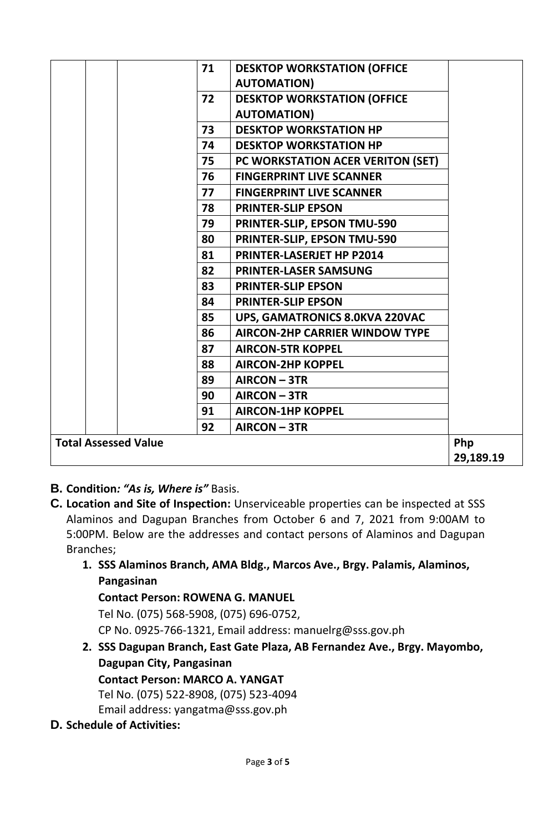| <b>DESKTOP WORKSTATION (OFFICE</b> |                                                                                                                                                                                                                                                         |
|------------------------------------|---------------------------------------------------------------------------------------------------------------------------------------------------------------------------------------------------------------------------------------------------------|
| <b>AUTOMATION)</b>                 |                                                                                                                                                                                                                                                         |
| <b>DESKTOP WORKSTATION (OFFICE</b> |                                                                                                                                                                                                                                                         |
| <b>AUTOMATION)</b>                 |                                                                                                                                                                                                                                                         |
| <b>DESKTOP WORKSTATION HP</b>      |                                                                                                                                                                                                                                                         |
| <b>DESKTOP WORKSTATION HP</b>      |                                                                                                                                                                                                                                                         |
|                                    |                                                                                                                                                                                                                                                         |
| <b>FINGERPRINT LIVE SCANNER</b>    |                                                                                                                                                                                                                                                         |
| <b>FINGERPRINT LIVE SCANNER</b>    |                                                                                                                                                                                                                                                         |
| <b>PRINTER-SLIP EPSON</b>          |                                                                                                                                                                                                                                                         |
| PRINTER-SLIP, EPSON TMU-590        |                                                                                                                                                                                                                                                         |
| PRINTER-SLIP, EPSON TMU-590        |                                                                                                                                                                                                                                                         |
| <b>PRINTER-LASERJET HP P2014</b>   |                                                                                                                                                                                                                                                         |
| <b>PRINTER-LASER SAMSUNG</b>       |                                                                                                                                                                                                                                                         |
| <b>PRINTER-SLIP EPSON</b>          |                                                                                                                                                                                                                                                         |
| <b>PRINTER-SLIP EPSON</b>          |                                                                                                                                                                                                                                                         |
|                                    |                                                                                                                                                                                                                                                         |
|                                    |                                                                                                                                                                                                                                                         |
| <b>AIRCON-5TR KOPPEL</b>           |                                                                                                                                                                                                                                                         |
| <b>AIRCON-2HP KOPPEL</b>           |                                                                                                                                                                                                                                                         |
| AIRCON-3TR                         |                                                                                                                                                                                                                                                         |
| AIRCON-3TR                         |                                                                                                                                                                                                                                                         |
| <b>AIRCON-1HP KOPPEL</b>           |                                                                                                                                                                                                                                                         |
| AIRCON-3TR                         |                                                                                                                                                                                                                                                         |
|                                    | Php                                                                                                                                                                                                                                                     |
|                                    | 29,189.19                                                                                                                                                                                                                                               |
|                                    | 71<br>72<br>73<br>74<br>75<br>PC WORKSTATION ACER VERITON (SET)<br>76<br>77<br>78<br>79<br>80<br>81<br>82<br>83<br>84<br>85<br><b>UPS, GAMATRONICS 8.0KVA 220VAC</b><br>86<br><b>AIRCON-2HP CARRIER WINDOW TYPE</b><br>87<br>88<br>89<br>90<br>91<br>92 |

- **B. Condition***: "As is, Where is"* Basis.
- **C. Location and Site of Inspection:** Unserviceable properties can be inspected at SSS Alaminos and Dagupan Branches from October 6 and 7, 2021 from 9:00AM to 5:00PM. Below are the addresses and contact persons of Alaminos and Dagupan Branches;
	- **1. SSS Alaminos Branch, AMA Bldg., Marcos Ave., Brgy. Palamis, Alaminos, Pangasinan**

**Contact Person: ROWENA G. MANUEL**

Tel No. (075) 568-5908, (075) 696-0752,

CP No. 0925-766-1321, Email address: manuelrg@sss.gov.ph

**2. SSS Dagupan Branch, East Gate Plaza, AB Fernandez Ave., Brgy. Mayombo, Dagupan City, Pangasinan Contact Person: MARCO A. YANGAT** Tel No. (075) 522-8908, (075) 523-4094

Email address: yangatma@sss.gov.ph

**D. Schedule of Activities:**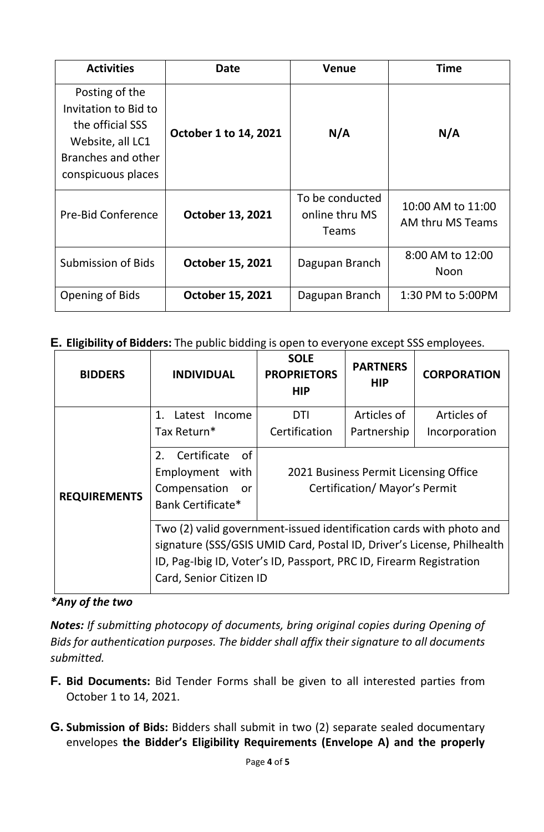| <b>Activities</b>                                                                                                          | <b>Date</b>             | <b>Venue</b>                                      | <b>Time</b>                           |
|----------------------------------------------------------------------------------------------------------------------------|-------------------------|---------------------------------------------------|---------------------------------------|
| Posting of the<br>Invitation to Bid to<br>the official SSS<br>Website, all LC1<br>Branches and other<br>conspicuous places | October 1 to 14, 2021   | N/A                                               | N/A                                   |
| <b>Pre-Bid Conference</b>                                                                                                  | <b>October 13, 2021</b> | To be conducted<br>online thru MS<br><b>Teams</b> | 10:00 AM to 11:00<br>AM thru MS Teams |
| <b>Submission of Bids</b>                                                                                                  | <b>October 15, 2021</b> | Dagupan Branch                                    | 8:00 AM to 12:00<br>Noon              |
| Opening of Bids                                                                                                            | <b>October 15, 2021</b> | Dagupan Branch                                    | 1:30 PM to 5:00PM                     |

# **E. Eligibility of Bidders:** The public bidding is open to everyone except SSS employees.

| <b>BIDDERS</b>      | <b>INDIVIDUAL</b>                                                                                                                                                                                                                               | <b>SOLE</b><br><b>PROPRIETORS</b><br><b>HIP</b> | <b>PARTNERS</b><br><b>HIP</b> | <b>CORPORATION</b> |
|---------------------|-------------------------------------------------------------------------------------------------------------------------------------------------------------------------------------------------------------------------------------------------|-------------------------------------------------|-------------------------------|--------------------|
|                     | 1<br>Latest Income                                                                                                                                                                                                                              | <b>DTI</b>                                      | Articles of                   | Articles of        |
|                     | Tax Return*                                                                                                                                                                                                                                     | Certification                                   | Partnership                   | Incorporation      |
| <b>REQUIREMENTS</b> | 2. Certificate<br>of<br>Employment with<br>2021 Business Permit Licensing Office<br><b>Certification/ Mayor's Permit</b><br>Compensation<br>or<br>Bank Certificate*                                                                             |                                                 |                               |                    |
|                     | Two (2) valid government-issued identification cards with photo and<br>signature (SSS/GSIS UMID Card, Postal ID, Driver's License, Philhealth<br>ID, Pag-Ibig ID, Voter's ID, Passport, PRC ID, Firearm Registration<br>Card, Senior Citizen ID |                                                 |                               |                    |

### *\*Any of the two*

*Notes: If submitting photocopy of documents, bring original copies during Opening of Bids for authentication purposes. The bidder shall affix their signature to all documents submitted.*

- **F. Bid Documents:** Bid Tender Forms shall be given to all interested parties from October 1 to 14, 2021.
- **G. Submission of Bids:** Bidders shall submit in two (2) separate sealed documentary envelopes **the Bidder's Eligibility Requirements (Envelope A) and the properly**